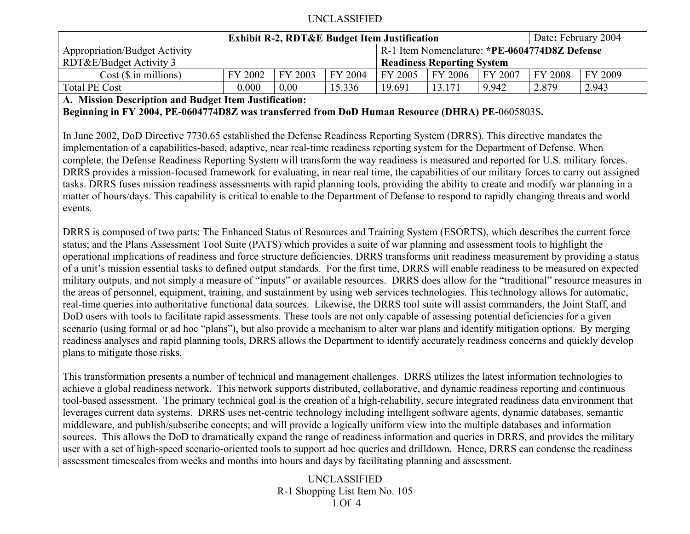| <b>Exhibit R-2, RDT&amp;E Budget Item Justification</b> |         |         |         |         |                                   |                                               | Date: February 2004 |         |  |  |
|---------------------------------------------------------|---------|---------|---------|---------|-----------------------------------|-----------------------------------------------|---------------------|---------|--|--|
| <b>Appropriation/Budget Activity</b>                    |         |         |         |         |                                   | R-1 Item Nomenclature: *PE-0604774D8Z Defense |                     |         |  |  |
| RDT&E/Budget Activity 3                                 |         |         |         |         | <b>Readiness Reporting System</b> |                                               |                     |         |  |  |
| $Cost$ ( $\$\$ in millions)                             | FY 2002 | FY 2003 | FY 2004 | FY 2005 | FY 2006                           | FY 2007                                       | FY 2008             | FY 2009 |  |  |
| <b>Total PE Cost</b>                                    | 0.000   | 0.00    | 15.336  | 19.691  | 13.171                            | 9.942                                         | 2.879               | 2.943   |  |  |

**A. Mission Description and Budget Item Justification:** 

**Beginning in FY 2004, PE-0604774D8Z was transferred from DoD Human Resource (DHRA) PE-**0605803S**.**

In June 2002, DoD Directive 7730.65 established the Defense Readiness Reporting System (DRRS). This directive mandates the implementation of a capabilities-based, adaptive, near real-time readiness reporting system for the Department of Defense. When complete, the Defense Readiness Reporting System will transform the way readiness is measured and reported for U.S. military forces. DRRS provides a mission-focused framework for evaluating, in near real time, the capabilities of our military forces to carry out assigned tasks. DRRS fuses mission readiness assessments with rapid planning tools, providing the ability to create and modify war planning in a matter of hours/days. This capability is critical to enable to the Department of Defense to respond to rapidly changing threats and world events.

DRRS is composed of two parts: The Enhanced Status of Resources and Training System (ESORTS), which describes the current force status; and the Plans Assessment Tool Suite (PATS) which provides a suite of war planning and assessment tools to highlight the operational implications of readiness and force structure deficiencies. DRRS transforms unit readiness measurement by providing a status of a unit's mission essential tasks to defined output standards. For the first time, DRRS will enable readiness to be measured on expected military outputs, and not simply a measure of "inputs" or available resources. DRRS does allow for the "traditional" resource measures in the areas of personnel, equipment, training, and sustainment by using web services technologies. This technology allows for automatic, real-time queries into authoritative functional data sources. Likewise, the DRRS tool suite will assist commanders, the Joint Staff, and DoD users with tools to facilitate rapid assessments. These tools are not only capable of assessing potential deficiencies for a given scenario (using formal or ad hoc "plans"), but also provide a mechanism to alter war plans and identify mitigation options. By merging readiness analyses and rapid planning tools, DRRS allows the Department to identify accurately readiness concerns and quickly develop plans to mitigate those risks.

This transformation presents a number of technical and management challenges. DRRS utilizes the latest information technologies to achieve a global readiness network. This network supports distributed, collaborative, and dynamic readiness reporting and continuous tool-based assessment. The primary technical goal is the creation of a high-reliability, secure integrated readiness data environment that leverages current data systems. DRRS uses net-centric technology including intelligent software agents, dynamic databases, semantic middleware, and publish/subscribe concepts; and will provide a logically uniform view into the multiple databases and information sources. This allows the DoD to dramatically expand the range of readiness information and queries in DRRS, and provides the military user with a set of high-speed scenario-oriented tools to support ad hoc queries and drilldown. Hence, DRRS can condense the readiness assessment timescales from weeks and months into hours and days by facilitating planning and assessment.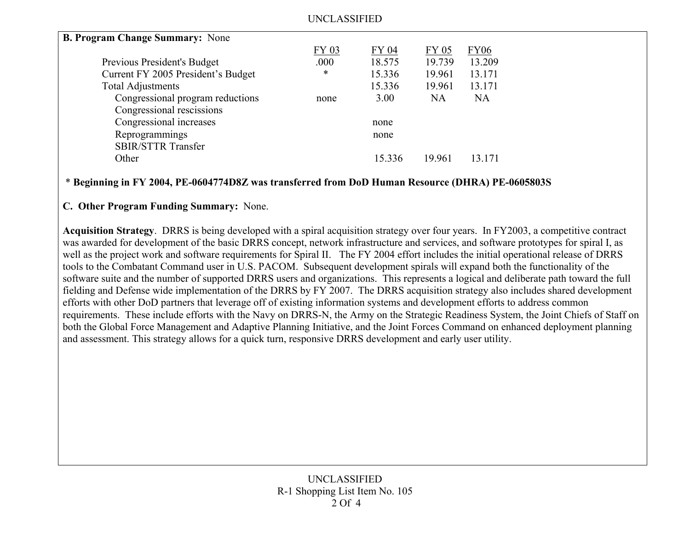| <b>B. Program Change Summary: None</b> |       |        |              |             |  |
|----------------------------------------|-------|--------|--------------|-------------|--|
|                                        | FY 03 | FY 04  | <b>FY 05</b> | <b>FY06</b> |  |
| Previous President's Budget            | .000  | 18.575 | 19.739       | 13.209      |  |
| Current FY 2005 President's Budget     | *     | 15.336 | 19.961       | 13.171      |  |
| <b>Total Adjustments</b>               |       | 15.336 | 19.961       | 13.171      |  |
| Congressional program reductions       | none  | 3.00   | NA.          | <b>NA</b>   |  |
| Congressional rescissions              |       |        |              |             |  |
| Congressional increases                |       | none   |              |             |  |
| Reprogrammings                         |       | none   |              |             |  |
| <b>SBIR/STTR Transfer</b>              |       |        |              |             |  |
| Other                                  |       | 15.336 | 19.961       | 13 171      |  |
|                                        |       |        |              |             |  |

#### \* **Beginning in FY 2004, PE-0604774D8Z was transferred from DoD Human Resource (DHRA) PE-0605803S**

#### **C. Other Program Funding Summary:** None.

**Acquisition Strategy**. DRRS is being developed with a spiral acquisition strategy over four years. In FY2003, a competitive contract was awarded for development of the basic DRRS concept, network infrastructure and services, and software prototypes for spiral I, as well as the project work and software requirements for Spiral II. The FY 2004 effort includes the initial operational release of DRRS tools to the Combatant Command user in U.S. PACOM. Subsequent development spirals will expand both the functionality of the software suite and the number of supported DRRS users and organizations. This represents a logical and deliberate path toward the full fielding and Defense wide implementation of the DRRS by FY 2007. The DRRS acquisition strategy also includes shared development efforts with other DoD partners that leverage off of existing information systems and development efforts to address common requirements. These include efforts with the Navy on DRRS-N, the Army on the Strategic Readiness System, the Joint Chiefs of Staff on both the Global Force Management and Adaptive Planning Initiative, and the Joint Forces Command on enhanced deployment planning and assessment. This strategy allows for a quick turn, responsive DRRS development and early user utility.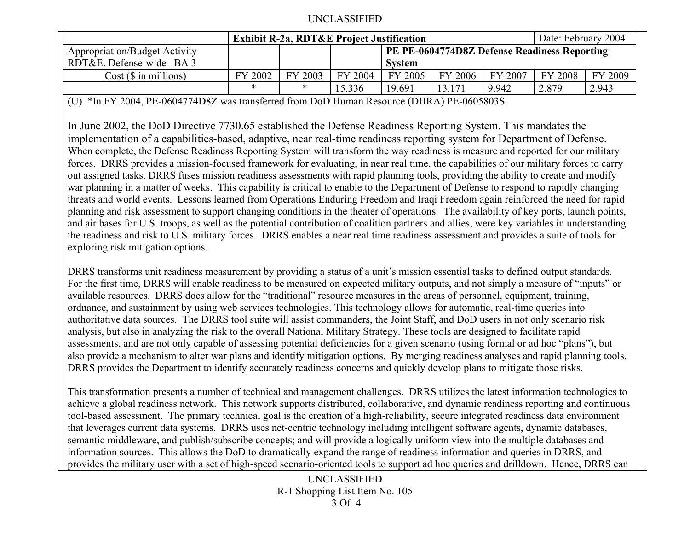|                                      | <b>Exhibit R-2a, RDT&amp;E Project Justification</b> |         |         |                                              |         | Date: February 2004 |         |         |
|--------------------------------------|------------------------------------------------------|---------|---------|----------------------------------------------|---------|---------------------|---------|---------|
| <b>Appropriation/Budget Activity</b> |                                                      |         |         | PE PE-0604774D8Z Defense Readiness Reporting |         |                     |         |         |
| RDT&E. Defense-wide BA 3             |                                                      |         |         | <b>System</b>                                |         |                     |         |         |
| $Cost$ ( $\$\$ in millions)          | FY 2002                                              | FY 2003 | FY 2004 | FY 2005                                      | FY 2006 | FY 2007             | FY 2008 | FY 2009 |
|                                      | $\ast$                                               | $\ast$  | 15.336  | 19.691                                       | 13.17   | 9.942               | 2.879   | 2.943   |

(U) \*In FY 2004, PE-0604774D8Z was transferred from DoD Human Resource (DHRA) PE-0605803S.

In June 2002, the DoD Directive 7730.65 established the Defense Readiness Reporting System. This mandates the implementation of a capabilities-based, adaptive, near real-time readiness reporting system for Department of Defense. When complete, the Defense Readiness Reporting System will transform the way readiness is measure and reported for our military forces. DRRS provides a mission-focused framework for evaluating, in near real time, the capabilities of our military forces to carry out assigned tasks. DRRS fuses mission readiness assessments with rapid planning tools, providing the ability to create and modify war planning in a matter of weeks. This capability is critical to enable to the Department of Defense to respond to rapidly changing threats and world events. Lessons learned from Operations Enduring Freedom and Iraqi Freedom again reinforced the need for rapid planning and risk assessment to support changing conditions in the theater of operations. The availability of key ports, launch points, and air bases for U.S. troops, as well as the potential contribution of coalition partners and allies, were key variables in understanding the readiness and risk to U.S. military forces. DRRS enables a near real time readiness assessment and provides a suite of tools for exploring risk mitigation options.

DRRS transforms unit readiness measurement by providing a status of a unit's mission essential tasks to defined output standards. For the first time, DRRS will enable readiness to be measured on expected military outputs, and not simply a measure of "inputs" or available resources. DRRS does allow for the "traditional" resource measures in the areas of personnel, equipment, training, ordnance, and sustainment by using web services technologies. This technology allows for automatic, real-time queries into authoritative data sources. The DRRS tool suite will assist commanders, the Joint Staff, and DoD users in not only scenario risk analysis, but also in analyzing the risk to the overall National Military Strategy. These tools are designed to facilitate rapid assessments, and are not only capable of assessing potential deficiencies for a given scenario (using formal or ad hoc "plans"), but also provide a mechanism to alter war plans and identify mitigation options. By merging readiness analyses and rapid planning tools, DRRS provides the Department to identify accurately readiness concerns and quickly develop plans to mitigate those risks.

This transformation presents a number of technical and management challenges. DRRS utilizes the latest information technologies to achieve a global readiness network. This network supports distributed, collaborative, and dynamic readiness reporting and continuous tool-based assessment. The primary technical goal is the creation of a high-reliability, secure integrated readiness data environment that leverages current data systems. DRRS uses net-centric technology including intelligent software agents, dynamic databases, semantic middleware, and publish/subscribe concepts; and will provide a logically uniform view into the multiple databases and information sources. This allows the DoD to dramatically expand the range of readiness information and queries in DRRS, and provides the military user with a set of high-speed scenario-oriented tools to support ad hoc queries and drilldown. Hence, DRRS can